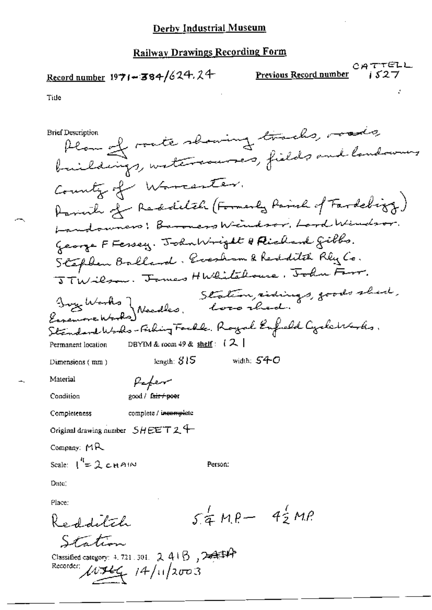# Record number  $1971 - 384/624.24$  Previous Record number

 $CATTELL$ <br> $1527$ 

 $\mathcal{L}$ 

Title

| Brief Description                                                                         |
|-------------------------------------------------------------------------------------------|
| Plan of rate showing tracks, roads                                                        |
| buildings, watercourses, fields and landowing                                             |
| County of Warranter.                                                                      |
| Parink of Redditch (Formerly Parish of Fardebiog)                                         |
| Landowners: Baroners Windsor, Lard Windsor.                                               |
| George F Fersey. John Wright & Richard Gibbs.                                             |
| Stephen Ballard, Everham & Redditch Rly Co.                                               |
| STWilson. James HWhitehouse, John Farr.                                                   |
| Frychlathe Meedles, Loro rhed. 8-ods shed.                                                |
|                                                                                           |
| Standard Works-Fishing Fackle. Royal English Cyclettarks.                                 |
| DBYIM & room 49 & $\frac{\text{shell}}{3}$ : $(2)$<br>Permanent location                  |
| width: $540$<br>length: $815$<br>Dimensions (mm)                                          |
| Material<br>Peper                                                                         |
| Condition<br>good / fa <del>ir / poer</del>                                               |
| complete / i <del>ncompl</del> ete<br>Completeness                                        |
| Original drawing number $SHEET24$                                                         |
| Company: MR                                                                               |
| Scale: $I^4 = 2$ chain<br>Person:                                                         |
| Date:                                                                                     |
| Place:                                                                                    |
| $54 MP - 42 MP$<br>Redditch                                                               |
|                                                                                           |
| Station                                                                                   |
| Classified category: $4.721$ . 301. $2.416$ , $2.411$<br>Recorder:<br>$MH_{4}$ 14/11/2003 |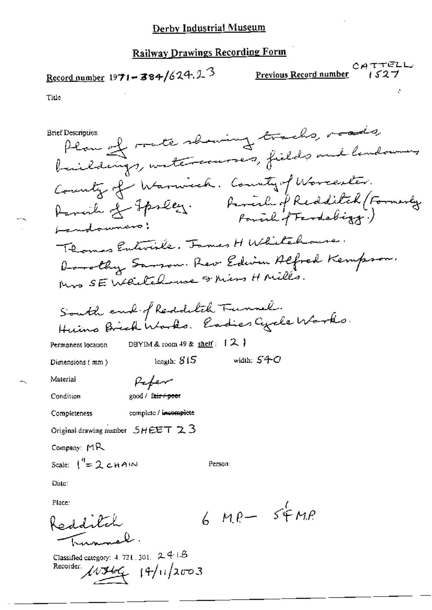# $\frac{\text{Record number}}{1971 - 384}/624.2^3$

Previous Record number

CATTELL

Title

Plan of rate showing tracks, roads, **Brief Description** buildings, watercourses, fields and landowing County of Warnich. County of Worcester. Parcile of Jpseez. Parcile of Redditch (Formerly Landowners: Thomas Entirile. James H Whitehouse. Dorothy Sarson. Rev Edwin Alfred Kempson. Mrs SE Weitchause & Mins H Milles. South each of Reddetch Tunnel. Huins Brick Works. Eadies Cycle Works. DBYIM & room  $49$  & shelf:  $[2]$ Permanent location width:  $540$ length:  $815$ Dimensions (mm) Material Paper good / fair / poor Condition complete / incomplete **Completeness** Original drawing number  $SHEET \geq 3$ Company:  $MR$ Scale:  $1^{4} = 2$  chain Person: Date: Place:  $6MP-5FMP$ Redditch Classified category: 4, 721, 301, 24 (B)  $103466$   $19/11/2003$ Recorder: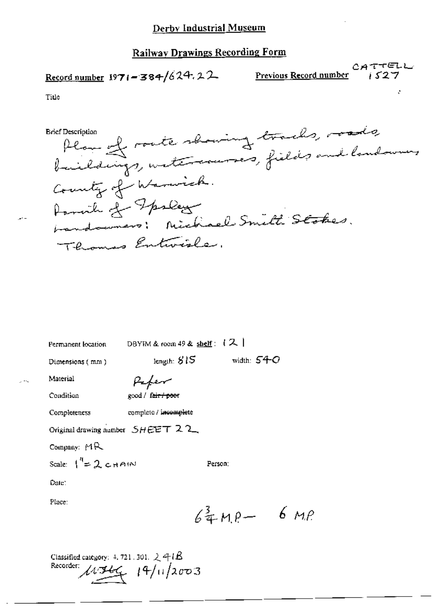## Record number  $1971 - 384/624.22$

CATTELL Previous Record number 1527

Title

Plan of route showing tracks, roads **Brief Description** County of Warnick. Parcile of Fpslay bandowners: Michael Smith Stokes. Thomas Entwisher.

| Permanent location                            | DBYIM & room 49 & shelf: $(X  $     |  |
|-----------------------------------------------|-------------------------------------|--|
| Dimensions (mm)                               | width: $54-$ O<br>length: $815\,$   |  |
| Material                                      |                                     |  |
| Condition                                     | good / fair / poor                  |  |
| Completeness                                  | complete / incomplete               |  |
|                                               | Original drawing number $SHEET$ 2.2 |  |
| Company: $MR$                                 |                                     |  |
| Scale: $\int_{0}^{4} = 2 \text{ cm}$          | Person:                             |  |
| Date:                                         |                                     |  |
| Place:                                        |                                     |  |
|                                               | $64 \text{ MP} - 6 \text{ MP}$      |  |
|                                               |                                     |  |
| Classified category: $4.721.301.$ $\&$ 4 $1B$ |                                     |  |
|                                               | Recorder: $19/112003$               |  |
|                                               |                                     |  |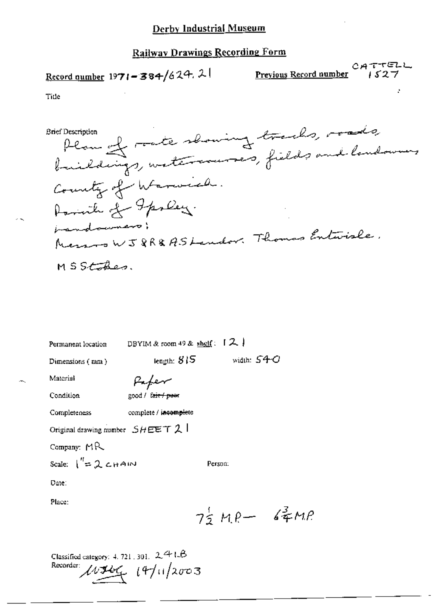# Record number 1971-384/624.21

Previous Record number

CATTELL

Title

Plan of rate showing tracks, roads Brief Description County of Warwich. Parish of Graley. imandoumers; Messon WJ8R&ASLandor. Thomas Entwise. MSStakes.

| Permanent location                  | DBYIM & room 49 & shelf: $12$              |                 |  |
|-------------------------------------|--------------------------------------------|-----------------|--|
| Dimensions (nm)                     | iength: $815$ .                            | width: $540$    |  |
| Material                            | Hafer                                      |                 |  |
| Condition                           | good / fair / peer                         |                 |  |
| Completeness                        | complete / incomplete                      |                 |  |
| Original drawing number $SHEET$ 2 1 |                                            |                 |  |
| Company: $MR$                       |                                            |                 |  |
| Scale: $\int_{0}^{t} = 2 cH A/N$    |                                            | Person:         |  |
| Date:                               |                                            |                 |  |
| Place:                              |                                            |                 |  |
|                                     |                                            | $75 MP - 67 MP$ |  |
|                                     |                                            |                 |  |
|                                     | Classified category: 4, 721, 301, $2.41.6$ |                 |  |

Recorder:  $14/12003$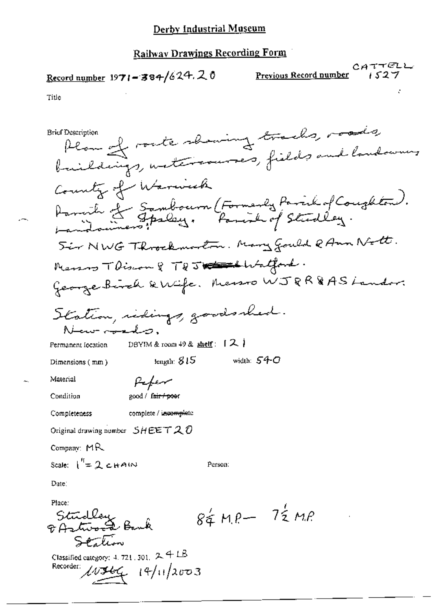## Record number 1971-384/624.20

CATTELL Previous Record number

i 527

Title

Plan of rock showing tracks, roads, **Brief Description** buildings, untercourses, fields and landowners County of Warnick Parcile of Sambourn (Formerly Parisk of Coughton).<br>Landonners : Parisk of Studley. Sir NWG Throckmoston. Mary Gould & Ann Nott. Menson TDiscon 8 TDJ Contact Watton George Birch & Wife, Messo WJRR&AS Landon Station, ridings, goodsshed. . صن<del>ار د به</del> س DBYIM & room  $49$  & shelf:  $12$ Permanent Iocation width:  $540$ length:  $815$ Dimensions (mm) Material Pefer Condition 200d / fair / poor Completeness complete / incomplete Original drawing number  $SHEETQO$ Company:  $MR$ Scale:  $\int_{0}^{1} = 2 cH A/N$ Person: Date: Place:  $84$  MP-  $72$  MP Studley<br>& Aztword Bank Stalion Classified category: 4, 721, 301, 2, 4 LB Recorder:  $40366 + 14/11/2003$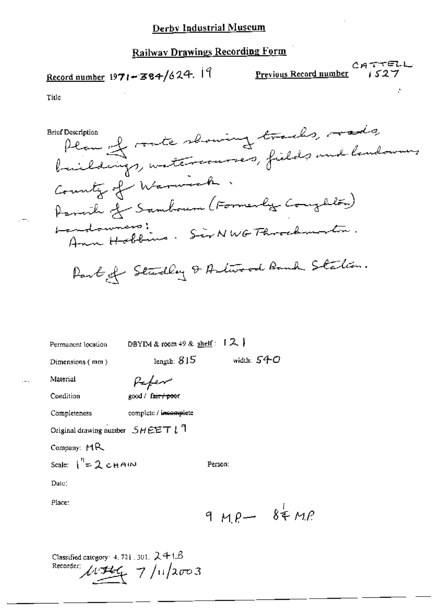# Record number  $1971 - 384/624$ . 19

CATTELL Previous Record number

 $1527$ 

Title

Plan of route showing tracks, roads **Brief Description** baildings, watercourses, fields and landowners County of Warwick. Parink of Sambourn (Formerly Conglilon) andowners:<br>Ann Hobbins. Sir NWG Fhrockmorton. Landouners! Part of Studley & Artwood Bank Station.

| Permanent location                             | DBYIM & room $49$ & shelf: $12$ |              |  |
|------------------------------------------------|---------------------------------|--------------|--|
| Dimensions (mm)                                | length: $815$                   | width: $540$ |  |
| Material                                       |                                 |              |  |
| Condition                                      | good / fair / poor              |              |  |
| Completeness                                   | complete / incomplete           |              |  |
| Original drawing number $SHEET l$ <sup>1</sup> |                                 |              |  |
| Company: $MR$                                  |                                 |              |  |
| Scale: $\int_{0}^{\eta} = 2 \cosh \theta$      |                                 | Person:      |  |
| Date)                                          |                                 |              |  |
| Place:                                         |                                 |              |  |
|                                                |                                 | $9MP - 84MP$ |  |

Classified category: 4, 721, 301,  $241B$ Recorder:  $4.744$  7/11/2003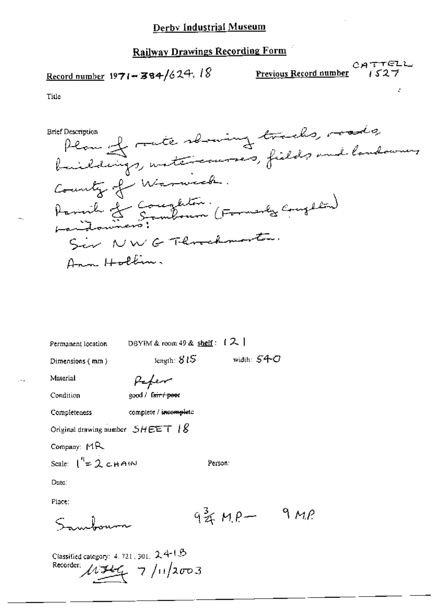## Record number 1971-384/624.18

Previous Record number

 $CATTELL$ 

ż

Title

Plan of rate showing tracks, roads **Brief Description** County of Warnick. Annuile et Completion.<br>Landouiners: Component (Formanles Completia) Sir NWG Threatmenten. Ann Hollin.

DBYIM & room 49 & shelf:  $(2)$ Permanent location length:  $815$ width:  $S4$ C

Dimensions (mm)

Pefer

Condition

Material

good / fair / peer

Completeness

complete / incomplete

Original drawing number  $SHEET$  |  $\&$ 

Company:  $MR$ 

Scale:  $1^{\prime\prime} = 2$  chain

Date:

Place:

 $934MP - 9MP$ 

Person:

Classified category: 4, 721, 301, 241B Recorder:  $11/146$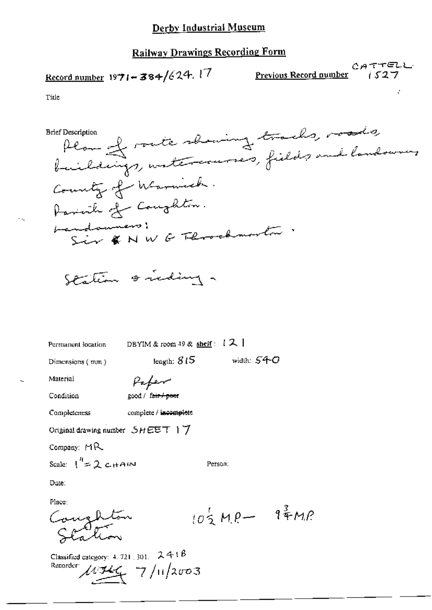# Record number 1971-384/624.17

CATTELL Previous Record number

i 527

Title

Plan of route showing tracks, roads, **Brief Description** County of Warnick. Parink of Congleton. Landsumers;<br>Sir & NWG Floodmorton Station & reding

Permanent location

DBYIM & room 49 & shelf :  $\{2\}$ 

leagth:  $815$  width:  $540$ 

Person:

 $10\frac{1}{2}MP - 94MP$ 

Dimensions (mm)

Paper

Condition

Material

good / fair / poor

Completeness

complete / incomplete

Original drawing number SHEET 17

Company: MR

Scale:  $1^{4}$  = 2 c HAIN

Date:

Place:

Coughton

Classified category: 4, 721, 301,  $2418$ Recorder  $\mu = \frac{1}{2} \pi \frac{1}{2003}$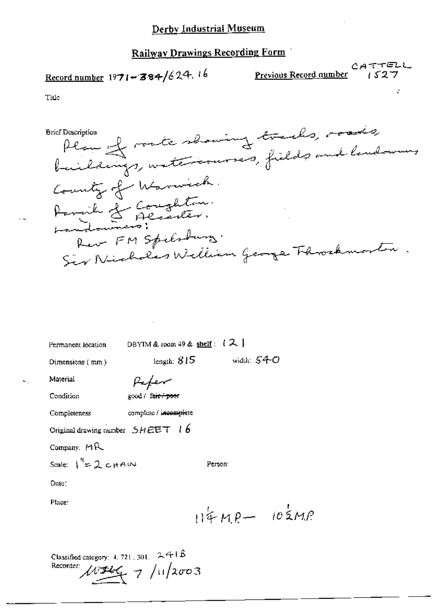# Record number  $1971 - 384/624.16$

CATTELL Previous Record number

 $1527$ 

Title

Plan of roate showing tracks, roads, **Brief Description** County of Warnick. Amerika de Goughton.<br>Landoumero: Rev FM Spiladung. Sir Nicholas William George Throckmorton.

| Permanent location                  | DBYIM & coom 49 & shelf: $(2)$ |         |              |                 |
|-------------------------------------|--------------------------------|---------|--------------|-----------------|
| Dimensions (mm)                     | length: $815$                  |         | width: $540$ |                 |
| Material                            | Kefer                          |         |              |                 |
| Condition                           | good / fair / poor             |         |              |                 |
| Completeness                        | complete / incomplete          |         |              |                 |
| Original drawing number $SHEET$ (6) |                                |         |              |                 |
| Company: $MR$                       |                                |         |              |                 |
| Scale: $1^9$ = 2 c HAIN             |                                | Person: |              |                 |
| Date:                               |                                |         |              |                 |
| Place:                              |                                |         |              |                 |
|                                     |                                |         |              | $114MP - 103MP$ |
|                                     |                                |         |              |                 |
|                                     |                                |         |              |                 |

Classified category: 4, 721, 301,  $241B$ Recorder:  $\mu = 4 \pi \frac{1}{2} \pi \frac{1}{2} \pi \frac{1}{2} \pi$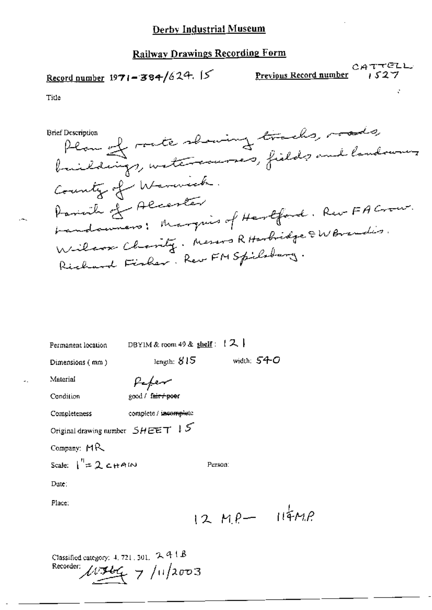#### Derby Industrial Museum

### Railway Drawings Recording Form

## Record number 1971-384/624.

CATTELL Previous Record number

 $1527$ 

Title

Plan of rate showing tracks, roads, **Brief Description** County of Warnick. Parinich of Alcenter bandonners; Marquis of Hertford. Rev-FA Crow. Wilcox Charity. Messos R Harbidge & W Brandis. Richard Fisher. Rew FM Spilsburg.

| Permanent location                          | DBYIM & room 49 & shelf $: 72$     |  |
|---------------------------------------------|------------------------------------|--|
| Dimensions (mm)                             | width: $540$<br>length: $815$      |  |
| Material                                    | Pefer                              |  |
| Condition                                   | good / fair / poer                 |  |
| Completeness                                | complete / incomplete              |  |
|                                             | Original drawing number $SHEET$ 15 |  |
| Company: $MR$                               |                                    |  |
| Scale: $\int_{0}^{1} = 2 \cosh 4\omega$     | Person:                            |  |
| Dute:                                       |                                    |  |
| Place:                                      |                                    |  |
|                                             | $12Me-114Me$                       |  |
|                                             |                                    |  |
| Classified category: $4.721$ , 301, $2.41B$ |                                    |  |

Recorder:  $10966$  7/11/2003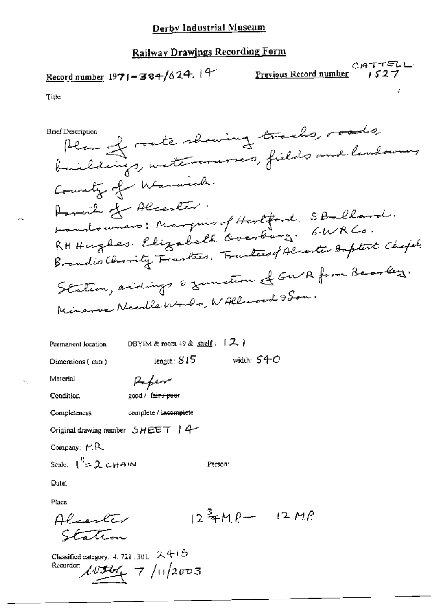CATTELL Previous Record number

1527

Title

Plan of rate showing tracks, roads, **Brief Description** buildings, watercourses, fields and landowing County of Warwick. Paraille of Alcenter. bandowners: Marquis of Hertford, SBallard. Brandis Charity Frantees, Frustees of Alcenter Baptist Chapel. Station, acidings & zumstern & GWR from Bearley. Minerva Needle Words, WAllwood 9 Son.

width:  $540$ 

DBYIM & room  $49$  & shelf:  $12$ Permanent location

Dimensions (mm)

Paper

length:  $515$ 

Condition

Material

good / fair / poor

Completeness complete / incomplete

Original drawing number SHEET 14

Company: MR

Scale:  $\int_0^R = 2 cH A/N$ 

Date:

Place:

 $12^{3}$  TMP  $-$  12 MP Alcenter Station

Person:

Classified category: 4, 721, 301,  $24 + 6$ Recorder:  $103666$  7/11/2003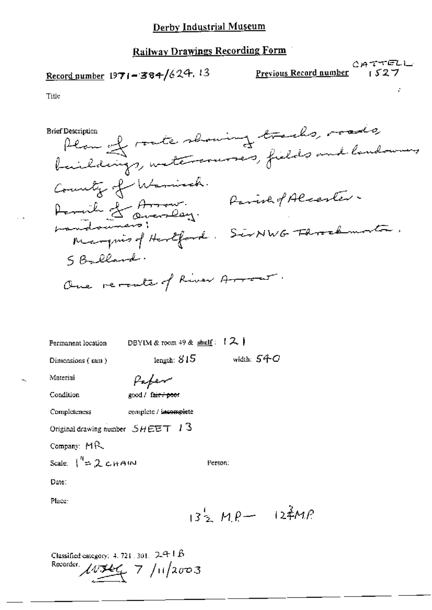## Record number 1971-384/624.13

CATTELL<br><u>Previous Record number</u> 1527

Title

Plan of rate showing tracks, roads, **Brief Description** County of Warnisch.<br>Parcile of Arrows: Parish of Alcenter.<br>Margueso ! Hartford: SENWG Floratmotor. S Ballard. One revealed of River Arrow. DBYIM & room 49 & shelf:  $[2]$ Permanent location length:  $815$ width:  $540$ Dimensions (nm) Paper Material

Condition

good / fair / poor

complete / incomplete Completeness

Original drawing number  $SHEET$  13

Company: MR

Scale:  $1^{n}$  = 2 cHAIN

Date:

Place:

 $13^{1}$   $24MP - 124MP$ 

Person:

Classified category:  $4.721.301.$   $241B$ Recorder  $\mu$  544 7 /11/2003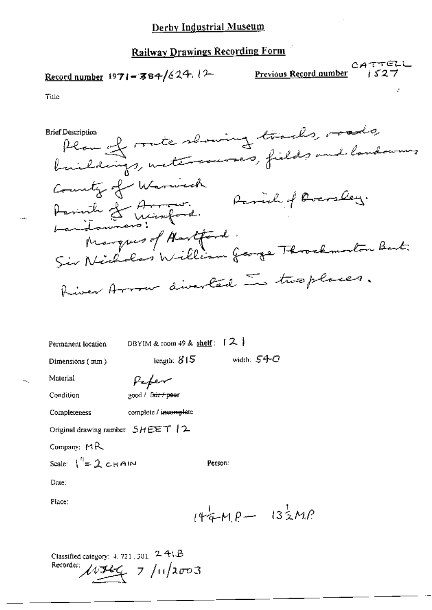# Record number 1971-384/624.12

CATTELL<br>Previous Record number (527

ć

Title

| <b>Brief Description</b>            |                                                      | Plan of rate showing tracks, made,<br>baildings, with sources, fields and landown, |
|-------------------------------------|------------------------------------------------------|------------------------------------------------------------------------------------|
|                                     | County of Warmech<br>Assint of Arrow.<br>Landowners: | Rassich of Overslay.                                                               |
|                                     | Marques of Hartford.<br>Sir Nicholas William George  |                                                                                    |
|                                     |                                                      | River Arrow diverted in two places.                                                |
| Permanent location                  | DBYIM & room 49 & shelf: $[2]$                       |                                                                                    |
| Dimensions (mm)                     | length: $815$                                        | width: $54-C$                                                                      |
| Material                            | Pefer                                                |                                                                                    |
| Condition                           | good / f <del>air / pee</del> r                      |                                                                                    |
| Completeness                        | complete / incomplete                                |                                                                                    |
| Original drawing number $5HEET$   2 |                                                      |                                                                                    |
| Company: MR                         |                                                      |                                                                                    |

Person:

Scale:  $1^{n}$  = 2 chain

Date:

Place:

 $144MP - 132MP$ 

Classified category: 4, 721, 301, 2, 41, B Recorder:  $11/1566$  7/11/2003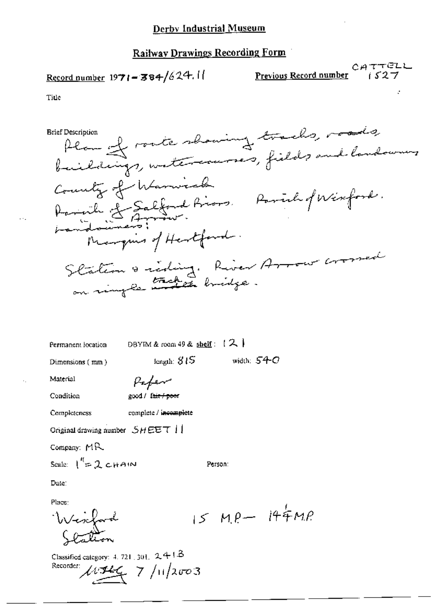## Record number  $1971 - 384/624.11$

 $CATTELL$ Previous Record number

Title

Plan of route showing tracks, roads, **Brief Description** buildings, watercourses, fields and landowners County of Warnick Daniele Salfond Priors, Parish of Winford.<br>Landowners: Manquis of Hertford. Station & riding. River Arrow crossed

DBYIM & room 49 & shelf:  $(2)$ Permanent location

length:  $315$ 

Dimensions (mm)

Paper

Condition

Material

Completeness

Original drawing number  $SHEET$  |

Company: MR

Scale:  $1^{n}$ = 2 cHAIN

Date:

Place:

Wescford

Classified category: 4, 721, 301,  $2418$ Recorder:  $1.7/11/2003$ 

Person:

width:  $540$ 

 $15 MP - 144 MP$ 

good / fair / peer

complete / incomplete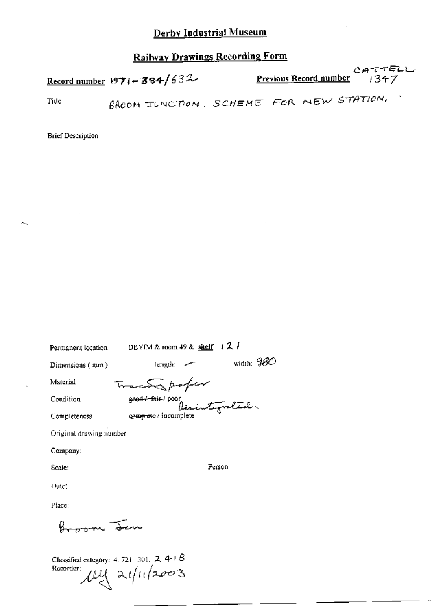## Derby Industrial Museum

## **Railway Drawings Recording Form**

|      | Record number 1971 - 384/632 | CATTELL<br><b>Previous Record number</b> $\rightarrow$ 347 |
|------|------------------------------|------------------------------------------------------------|
| Tide |                              | GROOM JUNCTION, SCHEME FOR NEW STATION,                    |

**Brief Description** 

 $\sim$ 

| Permanent location      | DBYIM & room 49 & shelf : 1 2                     |              |
|-------------------------|---------------------------------------------------|--------------|
| Dimensions (mm)         | $length:$ $\sim$                                  | width: $480$ |
| Material                | Traca poter                                       |              |
| Condition               | ge <del>ud≁ fair</del> / poor j<br>Disintegrated. |              |
| Completeness            | camplete / incomplete                             |              |
| Original drawing number |                                                   |              |
| Company:                |                                                   |              |
| Scale:                  | Person:                                           |              |
| Date∶                   |                                                   |              |
|                         |                                                   |              |

Place:

Broom Jen

Classified category: 4.721.301. 2.4-1.B<br>Recorder:<br> $\mathcal{U}\left(\frac{1}{2}\right)$   $\mathcal{U}\left(\frac{1}{2}\right)$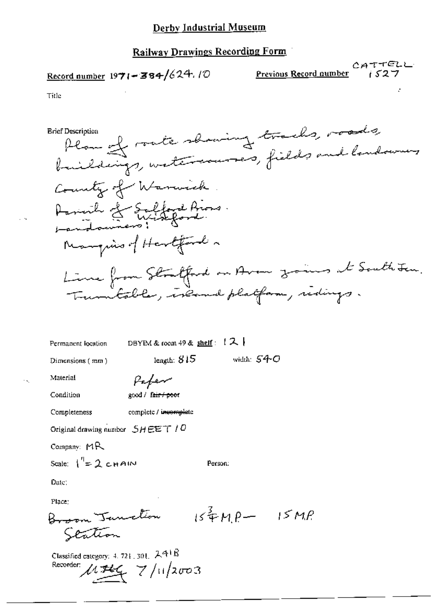## Record number  $1971 - 384/624.10$

CATTELL Previous Record number  $1527$ 

Title

Plan of rate showing tracks, roads, **Brief Description** buildings, watercourses, fields and landowners County of Warnick Acrivile of Salford Aros. Manquino of Hertford . Line from Strafford on Avon zones at South Jan. Trumbable, income platform, ridings. DBYIM & room 49 & shelf :  $(2)$ Permanent location length:  $815$ width:  $540$ Dimensions (mm) Material Pafer Condition good / fair / poor complete / incomplete Completeness Original drawing number  $SHEET/0$ Company: MR Scale:  $1^{\prime\prime}=2$  chain Person: Date: Place:

Broom Tanction  $154P - 15MP$ Scation

Classified category: 4, 721, 301, 241B Recorder:  $1.744$   $7/11/2003$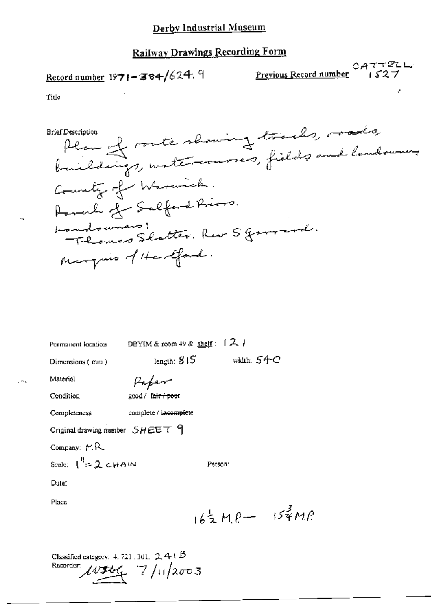## Record number 1971-384/624.9

Previous Record number

 $CATTELL$ 

Title

Alan of route showing tracks, roads, **Brief Description** baildings, watercourses, fields and landowners County of Warnick. Permile of Salford Priors. Landouners, Rev S general. Marquis of Hertford.

DBYIM & room 49 & shelf:  $[2]$ Permanent location length:  $815$ width:  $540$ Dimensions (mm) Material Paper Condition 200d / fait / poor Completeness complete / incomplete Original drawing number  $SHEET$   $9$ Company: MR Scale:  $1^{n}$  = 2 cHAIN Person: Date: Place:  $162MP - 157MP$ Classified category:  $4.721.301.$  2, 4  $\in$   $\beta$ 

Recorder:  $1/2003$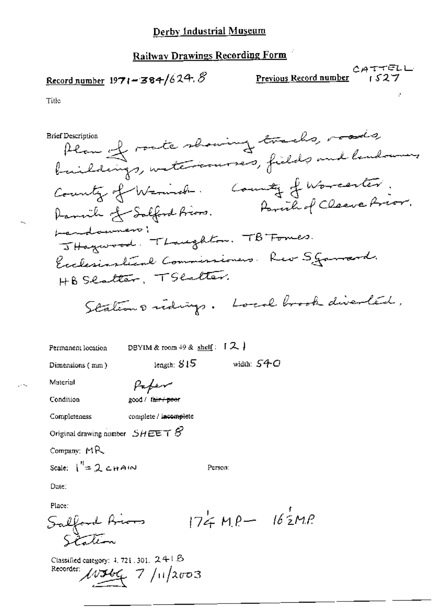#### Derby Industrial Museum

## **Railway Drawings Recording Form**

# Record number  $1971 - 384/624.8$

こんててどしし Previous Record number

 $1527$ 

Title

Plan of route showing tracks, roads, **Brief Description** baildings, watercourses, fields and landowners County of Warnich. County of Worcester. Parcile of Cleave Prior. Damile of Salford friend. bandowners; JHogwood. Thoughton. TB Formes. Exclusivationl Commissioners. Rev S gammerd. HB Scotter, TScotter. Stations ridings. Local brook diverted,

width:  $540$ 

Регзол:

Permanent location

DBYIM & room  $49$  & shelf:  $12$ 

length:  $815$ 

Dimensions (mm)

Paper

Condition

Material

good / fair / poor complete / incomplete

Completeness

Original drawing number  $SH$  EET  $S$ 

Company: MR

Scale:  $1'' = 2$  chain

Place:

Date:

 $174 MP - 162 MP$ Salford Bions State

Classified category: 4, 721, 301, 241.B Recorder:  $11/166$  7/11/2003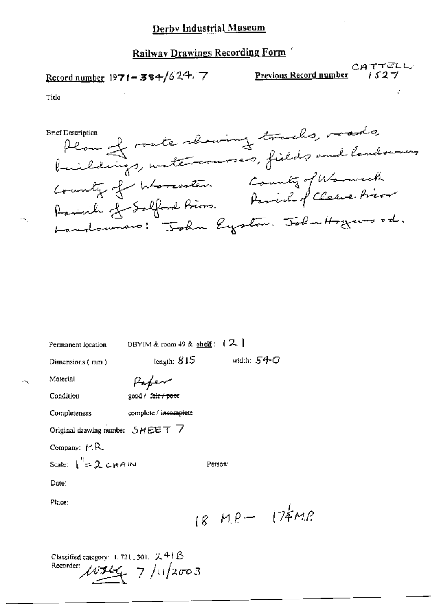#### Derby Industrial Museum

### Railway Drawings Recording Form

## Record number 1971-384/624.7

CATTELL Previous Record number

 $1527$ 

Title

Plan of rate showing tracks, roads **Brief Description** County of Worcester. County of Worwick Landouvers: "John Eyston. John Hogewood.

| Permanent location                        | DBYIM & room $49$ & shelf: $(2)$ |                   |  |
|-------------------------------------------|----------------------------------|-------------------|--|
| Dimensions (mm)                           | tength: $815$                    | width: $540$      |  |
| Material                                  | Kefer                            |                   |  |
| Condition                                 | good / fair / poor               |                   |  |
| Completeness                              | complete / incomplete            |                   |  |
| Original drawing number $SHEET$ 7         |                                  |                   |  |
| Company: MR                               |                                  |                   |  |
| Scale: $1'' = 2$ CHAIN                    |                                  | Person:           |  |
| Dute:                                     |                                  |                   |  |
| Place:                                    |                                  |                   |  |
|                                           |                                  | $18$ MP $-$ 174MP |  |
| Classified category: 4, 721, 301, $2 + B$ |                                  |                   |  |

Recorder:  $11266$  7/11/2003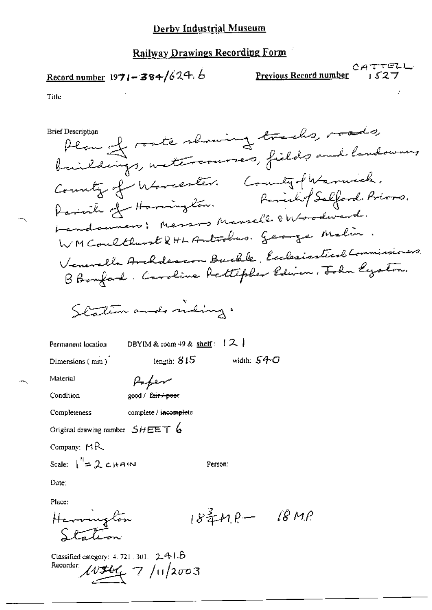## Record number  $1971 - 384/624.6$

CATTELL Previous Record number

Title

**Brief Description** 

Plan of rate showing tracks, roads, baildings, with courses, fields and landown, County of Worcester. County-flerenwich. Parish of Harrington. Parish of Salford. Priors. Landsuners; Messos Manselle & Woodward. WM Coulthwest & HL Antochus. George Malin Veneralle Archdescon Barble, Exclasiastical Commissioners, B Bonford. Caroline Rettipler Edwin, John Lyston.

width:  $540$ 

Station and niding.

Permanent location

DBYIM & room  $49$  & shelf :  $[2]$ 

- length:  $815\,$ 

Dimensions (mm)

Paper

Condition

Material

good / fair / poor

Completeness complete / incomplete

Original drawing number  $SHEET$  6

Company:  $MR$ 

Scale:  $\int_0^{\eta} 2C_H A(\omega)$ 

Date:

Place:

 $18^{\frac{3}{4}}$  $M^{\rho}$   $18MP$ Havenington  $SFT$ 

Person:

Classified category:  $4, 721, 301, -2, 4, 1, 5$ Recorder  $\mu$  544 7/11/2003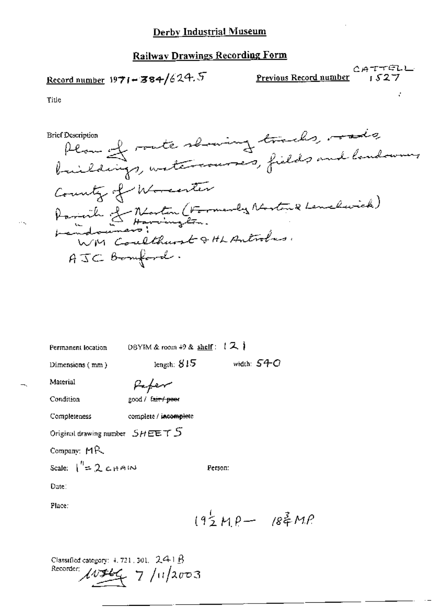# CATTELL<br>Record number 19**71-384/**624.5 Previous Record number *1527*

ð.

Title

 $\sim$   $\sim$ 

Breit Description

\nThen 
$$
+
$$
 route a learning threads, needs

\nlineally and tendency

\nSimilarly, whether

\nCounty of *Monten* (Formenley Methods and knowledge)

\nPerinik  $+$  Intingler.

\nFormal numbers: *complement* 8 *Heurichles*

\nFrom *Conclthunst* 9 *th Antiolus*

\nATC. Bemford.

Permanent location DBYIM & room 49 & shelf:  $12$ 

Dimensions (mm) length:  $815$  width:  $54-O$ 

Material Paper

Condition good / fair / poer

Completeness complete / incomplete

Original drawing number  $SHEET S$ 

Company' MR

Scale:  $\int_{0}^{\pi}$   $\approx$  2, c.  $\mu$   $\approx$  1.03

Date:

Place

 $192MP - 184MP$ 

Classified category: 4.721.301.  $241B$ <br>Recorder:  $\mu$  15 g 7 /H/2003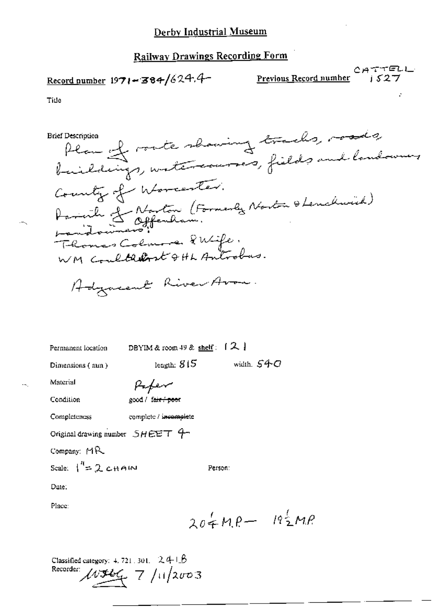Record number  $1971 - 384/624.4$ 

CATTELL<br>Previous Record number 1527

Title

**Brief Description** 

Plan of route shaming tracks, roads County of Worcester. Damink J. Norton (Formerly Norton & Lenchwick) Thomas Colmone Pubile. Adjustent River Avon.

Permanent location

DBYIM & room 49 & shelf:  $[2]$ 

length:  $815$ 

Dimensions (nun)

Paper

Condition

Material

good / fair poor

complete / incomplete

Completeness

Original drawing number  $SHEET$   $4-$ 

Company: MR

Scale:  $\int_0^R = 2cHAM$ 

Date:

Place:

 $204MP - 192MP$ 

Person:

width,  $540$ 

Classified category:  $4.721.301.$   $2.4 \pm 6$ Recorder  $1/2003$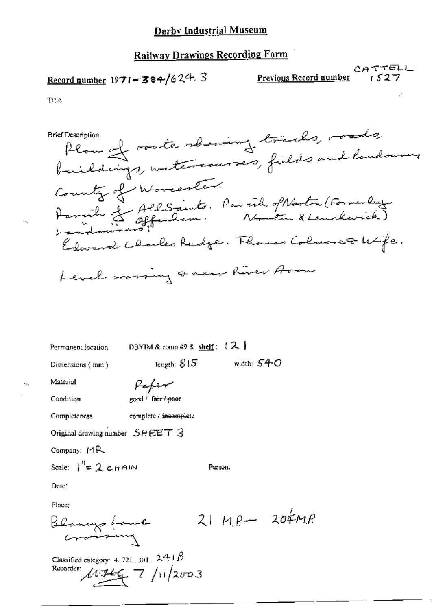Record number  $1971 - 384/624.3$ 

CATTELL Previous Record number

Title

Plan of rate showing tracks, roads **Brief Description** County of Worcester. Ramente et AllSaints. Parail of Naston (Formerly) Edward Charles Rudge. Thomas Colmore& Wife. Level crassing or near hiver Avou

width:  $54-$ O

Permanent focation

DBYIM & room 49 & shelf:  $(2)$ 

leugth:  $815$ 

Dimensions (mm)

Perfer

Condition

Material

good / fair / peer

complete / incomplete

Completeness

Original drawing number  $SHEET$  3

Company: MR

Scale:  $\int_{0}^{1} = 2$  chain

Date:

Place:

 $21MP - 204MP$ Blancys Lame

Person:

Classified category: 4, 721, 301,  $241B$ Recorder  $\mu = 7 / \frac{1}{2003}$